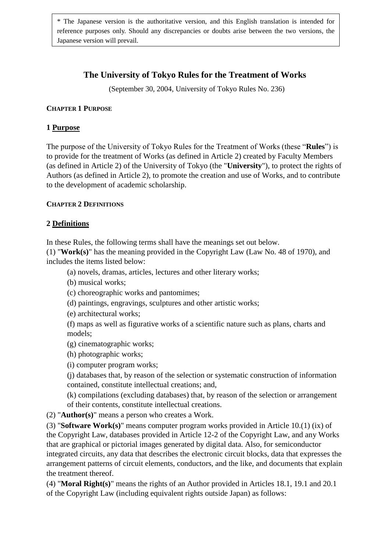\* The Japanese version is the authoritative version, and this English translation is intended for reference purposes only. Should any discrepancies or doubts arise between the two versions, the Japanese version will prevail.

# **The University of Tokyo Rules for the Treatment of Works**

(September 30, 2004, University of Tokyo Rules No. 236)

#### **CHAPTER 1 PURPOSE**

#### **1 Purpose**

The purpose of the University of Tokyo Rules for the Treatment of Works (these "**Rules**") is to provide for the treatment of Works (as defined in Article 2) created by Faculty Members (as defined in Article 2) of the University of Tokyo (the "**University**"), to protect the rights of Authors (as defined in Article 2), to promote the creation and use of Works, and to contribute to the development of academic scholarship.

#### **CHAPTER 2 DEFINITIONS**

#### **2 Definitions**

In these Rules, the following terms shall have the meanings set out below.

(1) "**Work(s)**" has the meaning provided in the Copyright Law (Law No. 48 of 1970), and includes the items listed below:

(a) novels, dramas, articles, lectures and other literary works;

(b) musical works;

(c) choreographic works and pantomimes;

(d) paintings, engravings, sculptures and other artistic works;

(e) architectural works;

(f) maps as well as figurative works of a scientific nature such as plans, charts and models;

(g) cinematographic works;

(h) photographic works;

(i) computer program works;

(j) databases that, by reason of the selection or systematic construction of information contained, constitute intellectual creations; and,

(k) compilations (excluding databases) that, by reason of the selection or arrangement of their contents, constitute intellectual creations.

(2) "**Author(s)**" means a person who creates a Work.

(3) "**Software Work(s)**" means computer program works provided in Article 10.(1) (ix) of the Copyright Law, databases provided in Article 12-2 of the Copyright Law, and any Works that are graphical or pictorial images generated by digital data. Also, for semiconductor integrated circuits, any data that describes the electronic circuit blocks, data that expresses the arrangement patterns of circuit elements, conductors, and the like, and documents that explain the treatment thereof.

(4) "**Moral Right(s)**" means the rights of an Author provided in Articles 18.1, 19.1 and 20.1 of the Copyright Law (including equivalent rights outside Japan) as follows: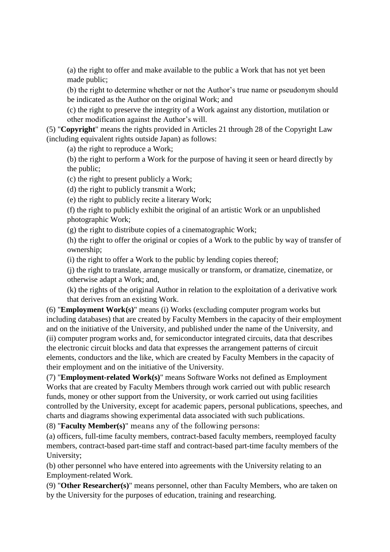(a) the right to offer and make available to the public a Work that has not yet been made public;

(b) the right to determine whether or not the Author's true name or pseudonym should be indicated as the Author on the original Work; and

(c) the right to preserve the integrity of a Work against any distortion, mutilation or other modification against the Author's will.

(5) "**Copyright**" means the rights provided in Articles 21 through 28 of the Copyright Law (including equivalent rights outside Japan) as follows:

(a) the right to reproduce a Work;

(b) the right to perform a Work for the purpose of having it seen or heard directly by the public;

(c) the right to present publicly a Work;

(d) the right to publicly transmit a Work;

(e) the right to publicly recite a literary Work;

(f) the right to publicly exhibit the original of an artistic Work or an unpublished photographic Work;

(g) the right to distribute copies of a cinematographic Work;

(h) the right to offer the original or copies of a Work to the public by way of transfer of ownership;

(i) the right to offer a Work to the public by lending copies thereof;

(j) the right to translate, arrange musically or transform, or dramatize, cinematize, or otherwise adapt a Work; and,

(k) the rights of the original Author in relation to the exploitation of a derivative work that derives from an existing Work.

(6) "**Employment Work(s)**" means (i) Works (excluding computer program works but including databases) that are created by Faculty Members in the capacity of their employment and on the initiative of the University, and published under the name of the University, and (ii) computer program works and, for semiconductor integrated circuits, data that describes the electronic circuit blocks and data that expresses the arrangement patterns of circuit elements, conductors and the like, which are created by Faculty Members in the capacity of their employment and on the initiative of the University.

(7) "**Employment-related Work(s)**" means Software Works not defined as Employment Works that are created by Faculty Members through work carried out with public research funds, money or other support from the University, or work carried out using facilities controlled by the University, except for academic papers, personal publications, speeches, and charts and diagrams showing experimental data associated with such publications.

(8) "**Faculty Member(s)**" means any of the following persons:

(a) officers, full-time faculty members, contract-based faculty members, reemployed faculty members, contract-based part-time staff and contract-based part-time faculty members of the University;

(b) other personnel who have entered into agreements with the University relating to an Employment-related Work.

(9) "**Other Researcher(s)**" means personnel, other than Faculty Members, who are taken on by the University for the purposes of education, training and researching.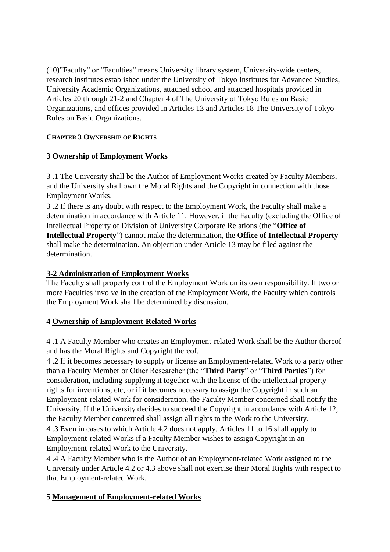(10)"Faculty" or "Faculties" means University library system, University-wide centers, research institutes established under the University of Tokyo Institutes for Advanced Studies, University Academic Organizations, attached school and attached hospitals provided in Articles 20 through 21-2 and Chapter 4 of The University of Tokyo Rules on Basic Organizations, and offices provided in Articles 13 and Articles 18 The University of Tokyo Rules on Basic Organizations.

#### **CHAPTER 3 OWNERSHIP OF RIGHTS**

#### **3 Ownership of Employment Works**

3 .1 The University shall be the Author of Employment Works created by Faculty Members, and the University shall own the Moral Rights and the Copyright in connection with those Employment Works.

3 .2 If there is any doubt with respect to the Employment Work, the Faculty shall make a determination in accordance with Article 11. However, if the Faculty (excluding the Office of Intellectual Property of Division of University Corporate Relations (the "**Office of Intellectual Property**") cannot make the determination, the **Office of Intellectual Property** shall make the determination. An objection under Article 13 may be filed against the determination.

#### **3-2 Administration of Employment Works**

The Faculty shall properly control the Employment Work on its own responsibility. If two or more Faculties involve in the creation of the Employment Work, the Faculty which controls the Employment Work shall be determined by discussion.

# **4 Ownership of Employment-Related Works**

4 .1 A Faculty Member who creates an Employment-related Work shall be the Author thereof and has the Moral Rights and Copyright thereof.

4 .2 If it becomes necessary to supply or license an Employment-related Work to a party other than a Faculty Member or Other Researcher (the "**Third Party**" or "**Third Parties**") for consideration, including supplying it together with the license of the intellectual property rights for inventions, etc, or if it becomes necessary to assign the Copyright in such an Employment-related Work for consideration, the Faculty Member concerned shall notify the University. If the University decides to succeed the Copyright in accordance with Article 12, the Faculty Member concerned shall assign all rights to the Work to the University.

4 .3 Even in cases to which Article 4.2 does not apply, Articles 11 to 16 shall apply to Employment-related Works if a Faculty Member wishes to assign Copyright in an Employment-related Work to the University.

4 .4 A Faculty Member who is the Author of an Employment-related Work assigned to the University under Article 4.2 or 4.3 above shall not exercise their Moral Rights with respect to that Employment-related Work.

# **5 Management of Employment-related Works**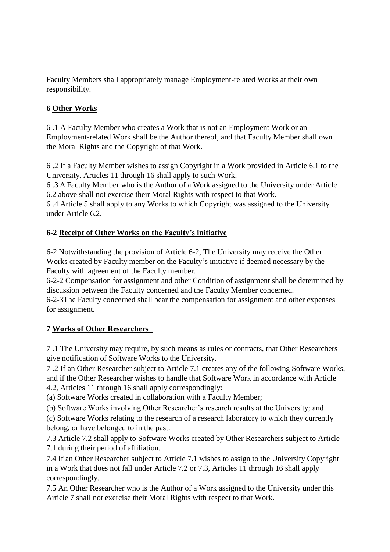Faculty Members shall appropriately manage Employment-related Works at their own responsibility.

# **6 Other Works**

6 .1 A Faculty Member who creates a Work that is not an Employment Work or an Employment-related Work shall be the Author thereof, and that Faculty Member shall own the Moral Rights and the Copyright of that Work.

6 .2 If a Faculty Member wishes to assign Copyright in a Work provided in Article 6.1 to the University, Articles 11 through 16 shall apply to such Work.

6 .3 A Faculty Member who is the Author of a Work assigned to the University under Article 6.2 above shall not exercise their Moral Rights with respect to that Work.

6 .4 Article 5 shall apply to any Works to which Copyright was assigned to the University under Article 6.2.

# **6-2 Receipt of Other Works on the Faculty's initiative**

6-2 Notwithstanding the provision of Article 6-2, The University may receive the Other Works created by Faculty member on the Faculty's initiative if deemed necessary by the Faculty with agreement of the Faculty member.

6-2-2 Compensation for assignment and other Condition of assignment shall be determined by discussion between the Faculty concerned and the Faculty Member concerned.

6-2-3The Faculty concerned shall bear the compensation for assignment and other expenses for assignment.

# **7 Works of Other Researchers**

7 .1 The University may require, by such means as rules or contracts, that Other Researchers give notification of Software Works to the University.

7 .2 If an Other Researcher subject to Article 7.1 creates any of the following Software Works, and if the Other Researcher wishes to handle that Software Work in accordance with Article

4.2, Articles 11 through 16 shall apply correspondingly:

(a) Software Works created in collaboration with a Faculty Member;

(b) Software Works involving Other Researcher's research results at the University; and

(c) Software Works relating to the research of a research laboratory to which they currently belong, or have belonged to in the past.

7.3 Article 7.2 shall apply to Software Works created by Other Researchers subject to Article 7.1 during their period of affiliation.

7.4 If an Other Researcher subject to Article 7.1 wishes to assign to the University Copyright in a Work that does not fall under Article 7.2 or 7.3, Articles 11 through 16 shall apply correspondingly.

7.5 An Other Researcher who is the Author of a Work assigned to the University under this Article 7 shall not exercise their Moral Rights with respect to that Work.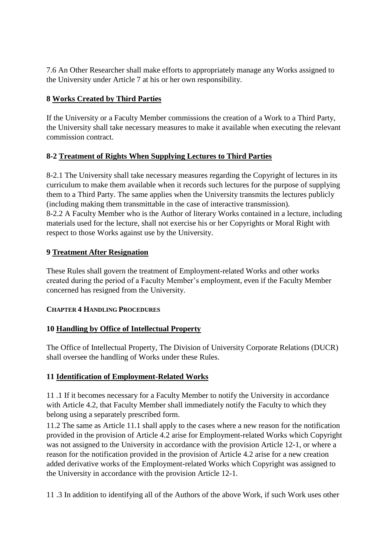7.6 An Other Researcher shall make efforts to appropriately manage any Works assigned to the University under Article 7 at his or her own responsibility.

# **8 Works Created by Third Parties**

If the University or a Faculty Member commissions the creation of a Work to a Third Party, the University shall take necessary measures to make it available when executing the relevant commission contract.

# **8-2 Treatment of Rights When Supplying Lectures to Third Parties**

8-2.1 The University shall take necessary measures regarding the Copyright of lectures in its curriculum to make them available when it records such lectures for the purpose of supplying them to a Third Party. The same applies when the University transmits the lectures publicly (including making them transmittable in the case of interactive transmission). 8-2.2 A Faculty Member who is the Author of literary Works contained in a lecture, including materials used for the lecture, shall not exercise his or her Copyrights or Moral Right with respect to those Works against use by the University.

# **9 Treatment After Resignation**

These Rules shall govern the treatment of Employment-related Works and other works created during the period of a Faculty Member's employment, even if the Faculty Member concerned has resigned from the University.

# **CHAPTER 4 HANDLING PROCEDURES**

# **10 Handling by Office of Intellectual Property**

The Office of Intellectual Property, The Division of University Corporate Relations (DUCR) shall oversee the handling of Works under these Rules.

# **11 Identification of Employment-Related Works**

11 .1 If it becomes necessary for a Faculty Member to notify the University in accordance with Article 4.2, that Faculty Member shall immediately notify the Faculty to which they belong using a separately prescribed form.

11.2 The same as Article 11.1 shall apply to the cases where a new reason for the notification provided in the provision of Article 4.2 arise for Employment-related Works which Copyright was not assigned to the University in accordance with the provision Article 12-1, or where a reason for the notification provided in the provision of Article 4.2 arise for a new creation added derivative works of the Employment-related Works which Copyright was assigned to the University in accordance with the provision Article 12-1.

11 .3 In addition to identifying all of the Authors of the above Work, if such Work uses other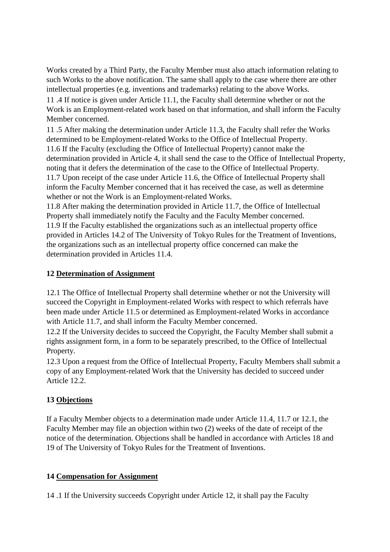Works created by a Third Party, the Faculty Member must also attach information relating to such Works to the above notification. The same shall apply to the case where there are other intellectual properties (e.g. inventions and trademarks) relating to the above Works.

11 .4 If notice is given under Article 11.1, the Faculty shall determine whether or not the Work is an Employment-related work based on that information, and shall inform the Faculty Member concerned.

11 .5 After making the determination under Article 11.3, the Faculty shall refer the Works determined to be Employment-related Works to the Office of Intellectual Property. 11.6 If the Faculty (excluding the Office of Intellectual Property) cannot make the determination provided in Article 4, it shall send the case to the Office of Intellectual Property, noting that it defers the determination of the case to the Office of Intellectual Property. 11.7 Upon receipt of the case under Article 11.6, the Office of Intellectual Property shall inform the Faculty Member concerned that it has received the case, as well as determine whether or not the Work is an Employment-related Works.

11.8 After making the determination provided in Article 11.7, the Office of Intellectual Property shall immediately notify the Faculty and the Faculty Member concerned. 11.9 If the Faculty established the organizations such as an intellectual property office provided in Articles 14.2 of The University of Tokyo Rules for the Treatment of Inventions, the organizations such as an intellectual property office concerned can make the determination provided in Articles 11.4.

# **12 Determination of Assignment**

12.1 The Office of Intellectual Property shall determine whether or not the University will succeed the Copyright in Employment-related Works with respect to which referrals have been made under Article 11.5 or determined as Employment-related Works in accordance with Article 11.7, and shall inform the Faculty Member concerned.

12.2 If the University decides to succeed the Copyright, the Faculty Member shall submit a rights assignment form, in a form to be separately prescribed, to the Office of Intellectual Property.

12.3 Upon a request from the Office of Intellectual Property, Faculty Members shall submit a copy of any Employment-related Work that the University has decided to succeed under Article 12.2.

# **13 Objections**

If a Faculty Member objects to a determination made under Article 11.4, 11.7 or 12.1, the Faculty Member may file an objection within two (2) weeks of the date of receipt of the notice of the determination. Objections shall be handled in accordance with Articles 18 and 19 of The University of Tokyo Rules for the Treatment of Inventions.

# **14 Compensation for Assignment**

14 .1 If the University succeeds Copyright under Article 12, it shall pay the Faculty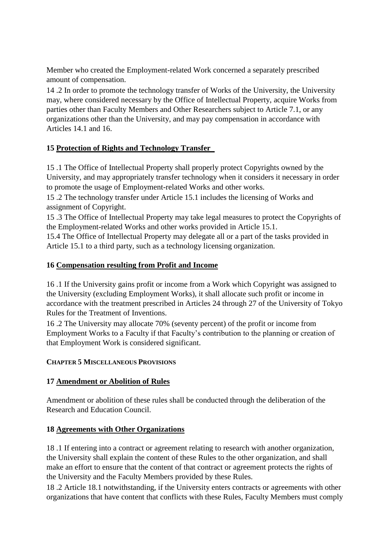Member who created the Employment-related Work concerned a separately prescribed amount of compensation.

14 .2 In order to promote the technology transfer of Works of the University, the University may, where considered necessary by the Office of Intellectual Property, acquire Works from parties other than Faculty Members and Other Researchers subject to Article 7.1, or any organizations other than the University, and may pay compensation in accordance with Articles 14.1 and 16.

# **15 Protection of Rights and Technology Transfer**

15 .1 The Office of Intellectual Property shall properly protect Copyrights owned by the University, and may appropriately transfer technology when it considers it necessary in order to promote the usage of Employment-related Works and other works.

15 .2 The technology transfer under Article 15.1 includes the licensing of Works and assignment of Copyright.

15 .3 The Office of Intellectual Property may take legal measures to protect the Copyrights of the Employment-related Works and other works provided in Article 15.1.

15.4 The Office of Intellectual Property may delegate all or a part of the tasks provided in Article 15.1 to a third party, such as a technology licensing organization.

#### **16 Compensation resulting from Profit and Income**

16 .1 If the University gains profit or income from a Work which Copyright was assigned to the University (excluding Employment Works), it shall allocate such profit or income in accordance with the treatment prescribed in Articles 24 through 27 of the University of Tokyo Rules for the Treatment of Inventions.

16 .2 The University may allocate 70% (seventy percent) of the profit or income from Employment Works to a Faculty if that Faculty's contribution to the planning or creation of that Employment Work is considered significant.

#### **CHAPTER 5 MISCELLANEOUS PROVISIONS**

#### **17 Amendment or Abolition of Rules**

Amendment or abolition of these rules shall be conducted through the deliberation of the Research and Education Council.

#### **18 Agreements with Other Organizations**

18 .1 If entering into a contract or agreement relating to research with another organization, the University shall explain the content of these Rules to the other organization, and shall make an effort to ensure that the content of that contract or agreement protects the rights of the University and the Faculty Members provided by these Rules.

18 .2 Article 18.1 notwithstanding, if the University enters contracts or agreements with other organizations that have content that conflicts with these Rules, Faculty Members must comply